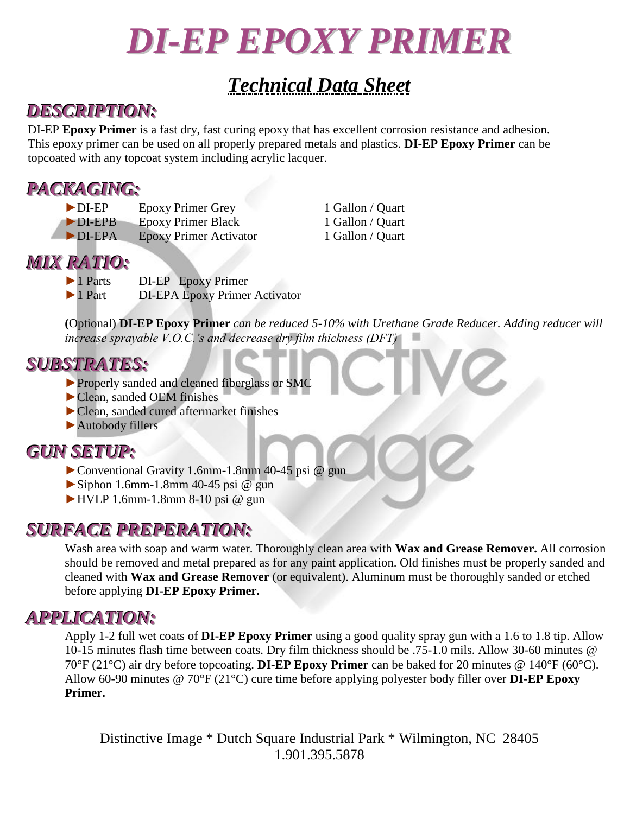# *DI-EP EPOXY PRIMER*

## *Technical Data Sheet*

#### *DESCRIPTION:*

DI-EP **Epoxy Primer** is a fast dry, fast curing epoxy that has excellent corrosion resistance and adhesion. This epoxy primer can be used on all properly prepared metals and plastics. **DI-EP Epoxy Primer** can be topcoated with any topcoat system including acrylic lacquer.

### *PACKAGING:*

- ► DI-EP Epoxy Primer Grey 1 Gallon / Quart
- ►DI-EPB Epoxy Primer Black 1 Gallon / Quart
- ►DI-EPA Epoxy Primer Activator 1 Gallon / Quart

#### *MIX RATIO:*

- ►1 Parts DI-EP Epoxy Primer
- ►1 Part DI-EPA Epoxy Primer Activator

**(**Optional) **DI-EP Epoxy Primer** *can be reduced 5-10% with Urethane Grade Reducer. Adding reducer will increase sprayable V.O.C.'s and decrease dry film thickness (DFT)*

#### *SUBSTRATES:*

- ►Properly sanded and cleaned fiberglass or SMC
- ►Clean, sanded OEM finishes
- ►Clean, sanded cured aftermarket finishes
- ►Autobody fillers

### *GUN SETUP:*

- ►Conventional Gravity 1.6mm-1.8mm 40-45 psi @ gun
- $\triangleright$  Siphon 1.6mm-1.8mm 40-45 psi @ gun
- $\blacktriangleright$  HVLP 1.6mm-1.8mm 8-10 psi @ gun

#### *SURFACE PREPERATION:*

Wash area with soap and warm water. Thoroughly clean area with **Wax and Grease Remover.** All corrosion should be removed and metal prepared as for any paint application. Old finishes must be properly sanded and cleaned with **Wax and Grease Remover** (or equivalent). Aluminum must be thoroughly sanded or etched before applying **DI-EP Epoxy Primer.**

### *APPLICATION:*

Apply 1-2 full wet coats of **DI-EP Epoxy Primer** using a good quality spray gun with a 1.6 to 1.8 tip. Allow 10-15 minutes flash time between coats. Dry film thickness should be .75-1.0 mils. Allow 30-60 minutes @ 70°F (21°C) air dry before topcoating. **DI-EP Epoxy Primer** can be baked for 20 minutes @ 140°F (60°C). Allow 60-90 minutes @ 70°F (21°C) cure time before applying polyester body filler over **DI-EP Epoxy Primer.**

Distinctive Image \* Dutch Square Industrial Park \* Wilmington, NC 28405 1.901.395.5878